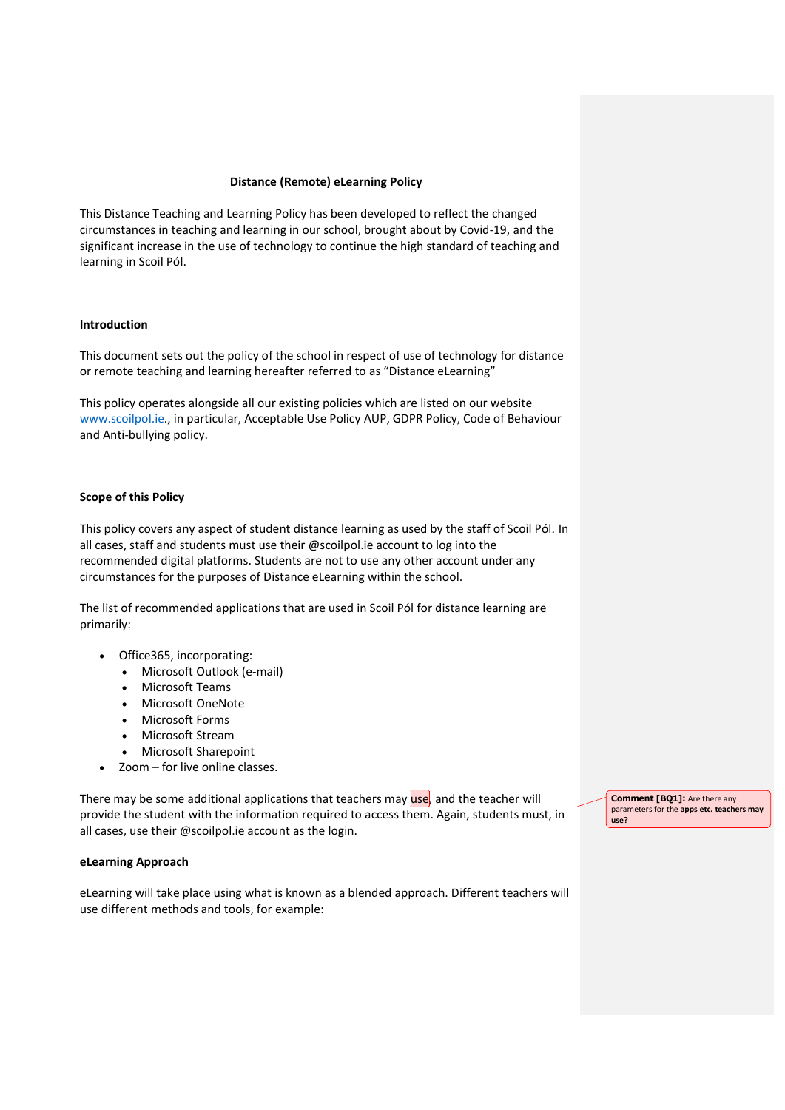# Distance (Remote) eLearning Policy

This Distance Teaching and Learning Policy has been developed to reflect the changed circumstances in teaching and learning in our school, brought about by Covid-19, and the significant increase in the use of technology to continue the high standard of teaching and learning in Scoil Pól.

### Introduction

This document sets out the policy of the school in respect of use of technology for distance or remote teaching and learning hereafter referred to as "Distance eLearning"

This policy operates alongside all our existing policies which are listed on our website www.scoilpol.ie., in particular, Acceptable Use Policy AUP, GDPR Policy, Code of Behaviour and Anti-bullying policy.

#### Scope of this Policy

This policy covers any aspect of student distance learning as used by the staff of Scoil Pól. In all cases, staff and students must use their @scoilpol.ie account to log into the recommended digital platforms. Students are not to use any other account under any circumstances for the purposes of Distance eLearning within the school.

The list of recommended applications that are used in Scoil Pól for distance learning are primarily:

- Office365, incorporating:
	- Microsoft Outlook (e-mail)
	- Microsoft Teams
	- Microsoft OneNote
	- Microsoft Forms
	- Microsoft Stream
	- Microsoft Sharepoint
- Zoom for live online classes.

There may be some additional applications that teachers may use, and the teacher will provide the student with the information required to access them. Again, students must, in all cases, use their @scoilpol.ie account as the login.

#### eLearning Approach

eLearning will take place using what is known as a blended approach. Different teachers will use different methods and tools, for example:

Comment [BQ1]: Are there any parameters for the apps etc. teachers may use?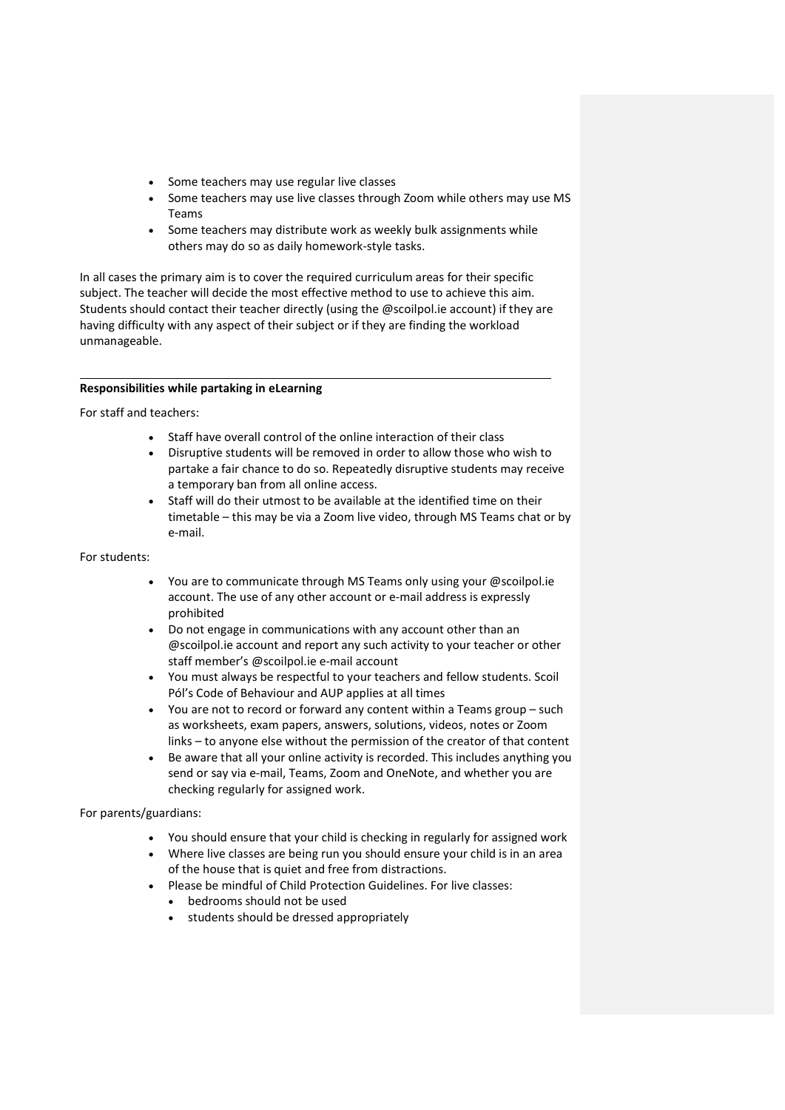- Some teachers may use regular live classes
- Some teachers may use live classes through Zoom while others may use MS Teams
- Some teachers may distribute work as weekly bulk assignments while others may do so as daily homework-style tasks.

In all cases the primary aim is to cover the required curriculum areas for their specific subject. The teacher will decide the most effective method to use to achieve this aim. Students should contact their teacher directly (using the @scoilpol.ie account) if they are having difficulty with any aspect of their subject or if they are finding the workload unmanageable.

# Responsibilities while partaking in eLearning

For staff and teachers:

 $\ddot{\phantom{a}}$ 

- Staff have overall control of the online interaction of their class
- Disruptive students will be removed in order to allow those who wish to partake a fair chance to do so. Repeatedly disruptive students may receive a temporary ban from all online access.
- Staff will do their utmost to be available at the identified time on their timetable – this may be via a Zoom live video, through MS Teams chat or by e-mail.

# For students:

- You are to communicate through MS Teams only using your @scoilpol.ie account. The use of any other account or e-mail address is expressly prohibited
- Do not engage in communications with any account other than an @scoilpol.ie account and report any such activity to your teacher or other staff member's @scoilpol.ie e-mail account
- You must always be respectful to your teachers and fellow students. Scoil Pól's Code of Behaviour and AUP applies at all times
- You are not to record or forward any content within a Teams group such as worksheets, exam papers, answers, solutions, videos, notes or Zoom links – to anyone else without the permission of the creator of that content
- Be aware that all your online activity is recorded. This includes anything you send or say via e-mail, Teams, Zoom and OneNote, and whether you are checking regularly for assigned work.

For parents/guardians:

- You should ensure that your child is checking in regularly for assigned work
- Where live classes are being run you should ensure your child is in an area of the house that is quiet and free from distractions.
- Please be mindful of Child Protection Guidelines. For live classes:
	- bedrooms should not be used
	- students should be dressed appropriately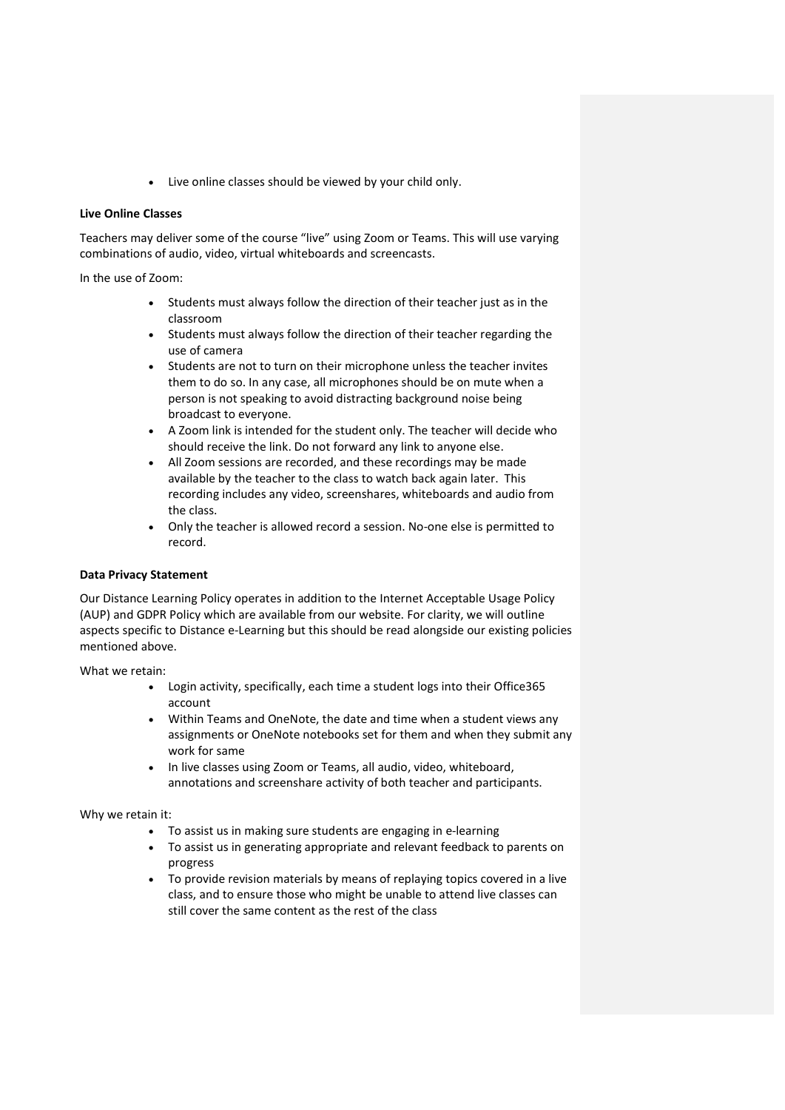Live online classes should be viewed by your child only.

#### Live Online Classes

Teachers may deliver some of the course "live" using Zoom or Teams. This will use varying combinations of audio, video, virtual whiteboards and screencasts.

In the use of Zoom:

- Students must always follow the direction of their teacher just as in the classroom
- Students must always follow the direction of their teacher regarding the use of camera
- Students are not to turn on their microphone unless the teacher invites them to do so. In any case, all microphones should be on mute when a person is not speaking to avoid distracting background noise being broadcast to everyone.
- A Zoom link is intended for the student only. The teacher will decide who should receive the link. Do not forward any link to anyone else.
- All Zoom sessions are recorded, and these recordings may be made available by the teacher to the class to watch back again later. This recording includes any video, screenshares, whiteboards and audio from the class.
- Only the teacher is allowed record a session. No-one else is permitted to record.

# Data Privacy Statement

Our Distance Learning Policy operates in addition to the Internet Acceptable Usage Policy (AUP) and GDPR Policy which are available from our website. For clarity, we will outline aspects specific to Distance e-Learning but this should be read alongside our existing policies mentioned above.

What we retain:

- Login activity, specifically, each time a student logs into their Office365 account
- Within Teams and OneNote, the date and time when a student views any assignments or OneNote notebooks set for them and when they submit any work for same
- In live classes using Zoom or Teams, all audio, video, whiteboard, annotations and screenshare activity of both teacher and participants.

Why we retain it:

- To assist us in making sure students are engaging in e-learning
- To assist us in generating appropriate and relevant feedback to parents on progress
- To provide revision materials by means of replaying topics covered in a live class, and to ensure those who might be unable to attend live classes can still cover the same content as the rest of the class